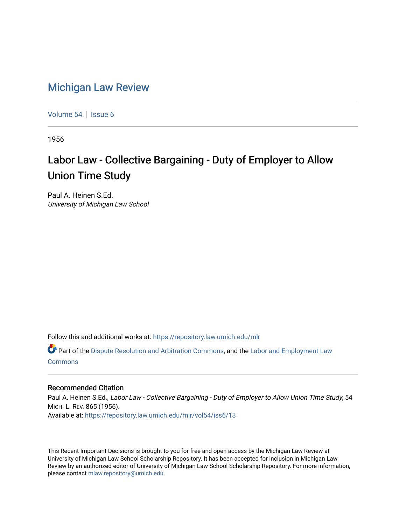## [Michigan Law Review](https://repository.law.umich.edu/mlr)

[Volume 54](https://repository.law.umich.edu/mlr/vol54) | [Issue 6](https://repository.law.umich.edu/mlr/vol54/iss6)

1956

## Labor Law - Collective Bargaining - Duty of Employer to Allow Union Time Study

Paul A. Heinen S.Ed. University of Michigan Law School

Follow this and additional works at: [https://repository.law.umich.edu/mlr](https://repository.law.umich.edu/mlr?utm_source=repository.law.umich.edu%2Fmlr%2Fvol54%2Fiss6%2F13&utm_medium=PDF&utm_campaign=PDFCoverPages) 

Part of the [Dispute Resolution and Arbitration Commons,](http://network.bepress.com/hgg/discipline/890?utm_source=repository.law.umich.edu%2Fmlr%2Fvol54%2Fiss6%2F13&utm_medium=PDF&utm_campaign=PDFCoverPages) and the [Labor and Employment Law](http://network.bepress.com/hgg/discipline/909?utm_source=repository.law.umich.edu%2Fmlr%2Fvol54%2Fiss6%2F13&utm_medium=PDF&utm_campaign=PDFCoverPages) [Commons](http://network.bepress.com/hgg/discipline/909?utm_source=repository.law.umich.edu%2Fmlr%2Fvol54%2Fiss6%2F13&utm_medium=PDF&utm_campaign=PDFCoverPages)

## Recommended Citation

Paul A. Heinen S.Ed., Labor Law - Collective Bargaining - Duty of Employer to Allow Union Time Study, 54 MICH. L. REV. 865 (1956). Available at: [https://repository.law.umich.edu/mlr/vol54/iss6/13](https://repository.law.umich.edu/mlr/vol54/iss6/13?utm_source=repository.law.umich.edu%2Fmlr%2Fvol54%2Fiss6%2F13&utm_medium=PDF&utm_campaign=PDFCoverPages) 

This Recent Important Decisions is brought to you for free and open access by the Michigan Law Review at University of Michigan Law School Scholarship Repository. It has been accepted for inclusion in Michigan Law Review by an authorized editor of University of Michigan Law School Scholarship Repository. For more information, please contact [mlaw.repository@umich.edu.](mailto:mlaw.repository@umich.edu)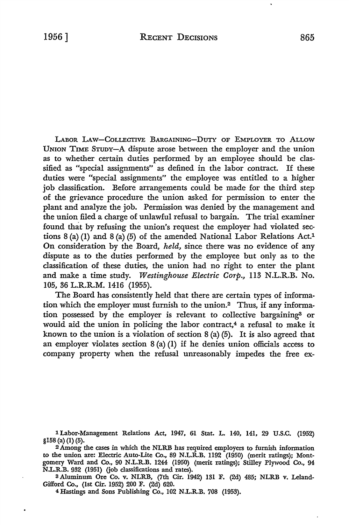LABOR LAW-COLLECTIVE BARGAINING-DUTY OF EMPLOYER TO ALLOW UNION TIME STUDY-A dispute arose between the employer and the union as to whether certain duties performed by an employee should be classified as "special assignments" as defined in the labor contract. If these duties were "special assignments" the employee was entitled to a higher job classification. Before arrangements could be made for the third step of the grievance procedure the union asked for permission to enter the plant and analyze the job. Permission was denied by the management and the union filed a charge of unlawful refusal to bargain. The trial examiner found that by refusing the union's request the employer had violated sections  $8$  (a) (I) and  $8$  (a) (5) of the amended National Labor Relations Act.<sup>1</sup> **On** consideration by the Board, *held,* since there was no evidence of any dispute as to the duties performed by the employee but only as to the classification of these duties, the union had no right to enter the plant and make a time study. *Westinghouse Electric Corp.,* 113 N.L.R.B. No. 105, 36 L.R.R.M. 1416 (1955).

The Board has consistently held that there are certain types of information which the employer must furnish to the union.2 Thus, if any information possessed by the employer is relevant to collective bargaining<sup>3</sup> or would aid the union in policing the labor contract,<sup>4</sup> a refusal to make it known to the union is a violation of section  $8$  (a) (5). It is also agreed that an employer violates section  $8(a)(1)$  if he denies union officials access to company property when the refusal unreasonably impedes the free ex-

lLabor-Management Relations Act, 1947, 61 Stat. L. 140, 141, 29 U.S.C. (1952) §158 (a) (1) (5).

<sup>2</sup>Among the cases in which the NLRB has required employers to furnish information to the union are: Electric Auto-Lite Co., 89 N.L.R.B. 1192 (1950) (merit ratings); Montgomery Ward and Co., 90 N.L.R.B. 1244 (1950) (merit ratings); Stilley Plywood Co., 94 N.L.R.B. 932 (1951) (job classifications and rates).

3 Aluminum Ore Co. v. NLRB, (7th Cir. 1942) 131 F. (2d) 485; NLRB v. Leland-Gifford Co., (1st Cir. 1952) 200 F. (2d) 620.

4Hastings and Sons Publishing Co., 102 N.L.R.B. 708 (1953).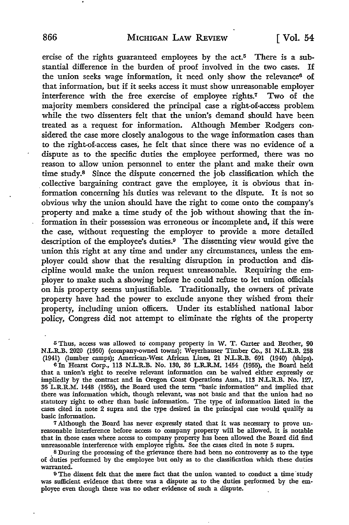ercise of the rights guaranteed employees by the act.<sup>5</sup> There is a substantial difference in the burden of proof involved in the two cases. If the union seeks wage information, it need only show the relevance<sup>6</sup> of that information, but if it seeks access it must show unreasonable employer interference with the free exercise of employee rights.7 Two of the majority members considered the principal case a right-of-access problem while the two dissenters felt that the union's demand should have been treated as a request for information. Although Member Rodgers considered the case more closely analogous to the wage information cases than to the right-of-access cases, he felt that since there was no evidence of a dispute as to the specific duties the employee performed, there was no reason to allow union personnel to enter the plant and make their own time study.8 Since the dispute concerned the job classification which the . collective bargaining contract gave the employee, it is obvious that information concerning his duties was relevant to the dispute. It is not so obvious why the union should have the right to come onto the company's property and make a time study of the job without showing that the information in their possession was erroneous or incomplete and, if this were the case, without requesting the employer to provide a more detailed description of the employee's duties.9 The dissenting view would give the union this right at any time and under any circumstances, unless the employer could show that the resulting disruption in production and discipline would make the union request unreasonable. Requiring the employer to make such a showing before he could refuse to let union officials on his property seems unjustifiable. Traditionally, the owners of private property have had the power to exclude anyone they wished from their property, including union officers. Under its established national labor policy, Congress did not attempt to eliminate the rights of the property

5 Thus, access was allowed to company property in W. T. Carter and Brother, 90 N.L.R..B. 2020 (1950) (company-owned towns); Weyerhauser Timber Co., 31 N.L.R.B. 258 (1941) (lumber camps); American-West African Lines, 21 NL.R..B. 691 (1940) (ships).

6In Hearst Corp., 113 N.L.R.B. No. 130, 36 L.R.R.M. 1454 (1955), the Board held that a union's right to receive relevant information can be waived either expressly or impliedly by the contract and in Oregon Coast Operations Assn., 113 NL.R.B. No. 127, 36 L.R.R.M. 1448 (1955), the Board used the term "basic information" and implied that there was information which, though relevant, was not basic and that the union had no statutory right to other than basic information. The type of information listed in the cases cited in note 2 supra and the type desired in the principal case would qualify as basic information.

7 Although the Board has never expressly stated that it was necessary to prove unreasonable interference before access to company property will be allowed, it is notable that in those cases where access to company property has been allowed the Board did find unreasonable interference with employee rights. See the cases cited in note 5 supra.

• 8 During the processing of the grievance there had been no controversy as to the type of duties performed by the employee but only as to the classification which these duties warranted.

9 The dissent felt that the mere fact that the union wanted to conduct a time study was sufficient evidence that there was a dispute as to the duties performed by the employee even though there was no other evidence of such a dispute.